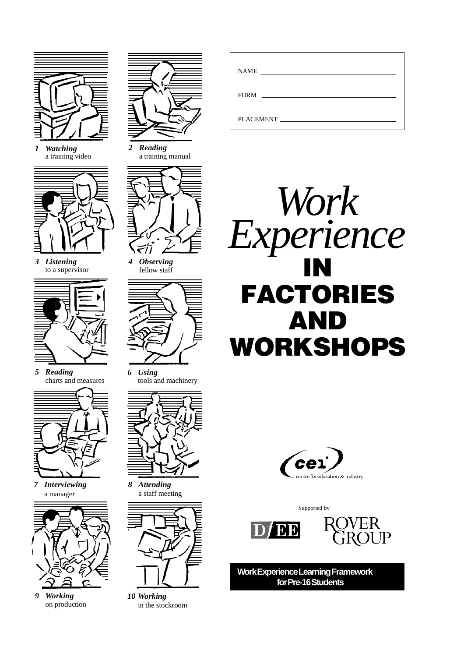

*1 Watching* a training video



*3 Listening* to a supervisor



*5 Reading* charts and measures



*7 Interviewing* a manager



*9 Working* on production



*2 Reading* a training manual



*4 Observing* fellow staff



*6 Using* tools and machinery



*8 Attending* a staff meeting



*10 Working* in the stockroom

| <b>NAME</b><br><u> 1980 - Andrea State Barbara, amerikan per</u>           |  |
|----------------------------------------------------------------------------|--|
| <b>FORM</b><br>the control of the control of the control of the control of |  |
| PLACEMENT                                                                  |  |





Supported by





**Work Experience Learning Framework for Pre-16 Students**